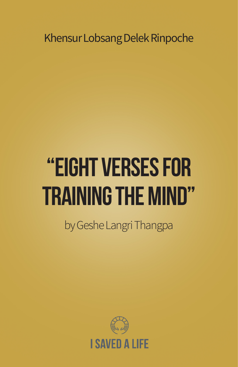Khensur Lobsang Delek Rinpoche

# "Eight Verses for Training the Mind"

by Geshe Langri Thangpa

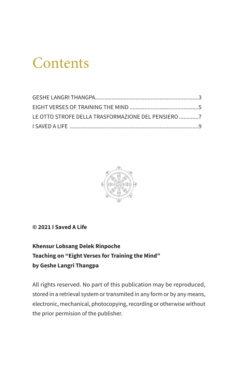## Contents

| LE OTTO STROFE DELLA TRASFORMAZIONE DEL PENSIERO 7 |  |
|----------------------------------------------------|--|
|                                                    |  |



#### **© 2021 I Saved A Life**

#### **Khensur Lobsang Delek Rinpoche Teaching on "Eight Verses for Training the Mind" by Geshe Langri Thangpa**

All rights reserved. No part of this publication may be reproduced, stored in a retrieval system or transmited in any form or by any means, electronic, mechanical, photocopying, recording or otherwise without the prior permision of the publisher.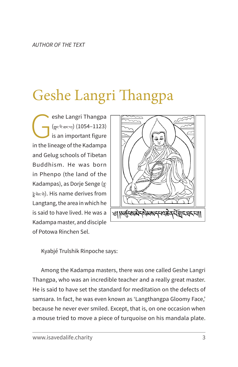# Geshe Langri Thangpa

eshe Langri Thangpa<br>(<sub>Special</sub>) (1054–1123)<br>is an important figure<br>in the lineage of the Kadampa (གླང་རི་ཐང་པ།) (1054–1123) is an important figure in the lineage of the Kadampa and Gelug schools of Tibetan Buddhism. He was born in Phenpo (the land of the Kadampas), as Dorje Senge ( $\leq$ རྗེ་སེང་གེ). His name derives from Langtang, the area in which he is said to have lived. He was a Kadampa master, and disciple of Potowa Rinchen Sel.



Kyabjé Trulshik Rinpoche says:

Among the Kadampa masters, there was one called Geshe Langri Thangpa, who was an incredible teacher and a really great master. He is said to have set the standard for meditation on the defects of samsara. In fact, he was even known as 'Langthangpa Gloomy Face,' because he never ever smiled. Except, that is, on one occasion when a mouse tried to move a piece of turquoise on his mandala plate.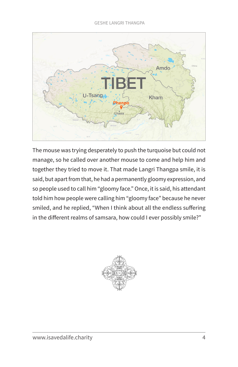

The mouse was trying desperately to push the turquoise but could not manage, so he called over another mouse to come and help him and together they tried to move it. That made Langri Thangpa smile, it is said, but apart from that, he had a permanently gloomy expression, and so people used to call him "gloomy face." Once, it is said, his attendant told him how people were calling him "gloomy face" because he never smiled, and he replied, "When I think about all the endless suffering in the different realms of samsara, how could I ever possibly smile?"

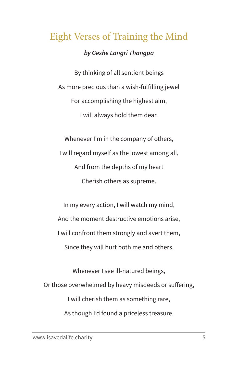### Eight Verses of Training the Mind

### *by Geshe Langri Thangpa*

By thinking of all sentient beings As more precious than a wish-fulfilling jewel For accomplishing the highest aim, I will always hold them dear.

Whenever I'm in the company of others, I will regard myself as the lowest among all, And from the depths of my heart Cherish others as supreme.

In my every action, I will watch my mind, And the moment destructive emotions arise, I will confront them strongly and avert them, Since they will hurt both me and others.

Whenever I see ill-natured beings, Or those overwhelmed by heavy misdeeds or suffering, I will cherish them as something rare, As though I'd found a priceless treasure.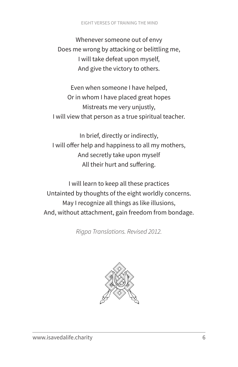Whenever someone out of envy Does me wrong by attacking or belittling me, I will take defeat upon myself, And give the victory to others.

Even when someone I have helped, Or in whom I have placed great hopes Mistreats me very unjustly, I will view that person as a true spiritual teacher.

In brief, directly or indirectly, I will offer help and happiness to all my mothers, And secretly take upon myself All their hurt and suffering.

I will learn to keep all these practices Untainted by thoughts of the eight worldly concerns. May I recognize all things as like illusions, And, without attachment, gain freedom from bondage.

*Rigpa Translations. Revised 2012.*

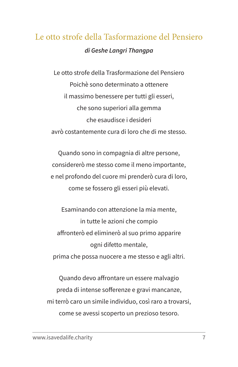### Le otto strofe della Tasformazione del Pensiero *di Geshe Langri Thangpa*

Le otto strofe della Trasformazione del Pensiero Poichè sono determinato a ottenere il massimo benessere per tutti gli esseri, che sono superiori alla gemma che esaudisce i desideri avrò costantemente cura di loro che di me stesso.

Quando sono in compagnia di altre persone, considererò me stesso come il meno importante, e nel profondo del cuore mi prenderò cura di loro, come se fossero gli esseri più elevati.

Esaminando con attenzione la mia mente, in tutte le azioni che compio affronterò ed eliminerò al suo primo apparire ogni difetto mentale, prima che possa nuocere a me stesso e agli altri.

Quando devo affrontare un essere malvagio preda di intense sofferenze e gravi mancanze, mi terrò caro un simile individuo, così raro a trovarsi, come se avessi scoperto un prezioso tesoro.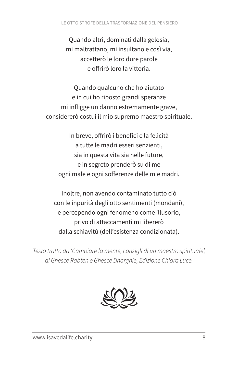#### LE OTTO STROFE DELLA TRASFORMAZIONE DEL PENSIERO

Quando altri, dominati dalla gelosia, mi maltrattano, mi insultano e così via, accetterò le loro dure parole e offrirò loro la vittoria.

Quando qualcuno che ho aiutato e in cui ho riposto grandi speranze mi infligge un danno estremamente grave, considererò costui il mio supremo maestro spirituale.

In breve, offrirò i benefici e la felicità a tutte le madri esseri senzienti, sia in questa vita sia nelle future, e in segreto prenderò su di me ogni male e ogni sofferenze delle mie madri.

Inoltre, non avendo contaminato tutto ciò con le inpurità degli otto sentimenti (mondani), e percependo ogni fenomeno come illusorio, privo di attaccamenti mi libererò dalla schiavitù (dell'esistenza condizionata).

*Testo tratto da 'Cambiare la mente, consigli di un maestro spirituale', di Ghesce Rabten e Ghesce Dharghie, Edizione Chiara Luce.* 

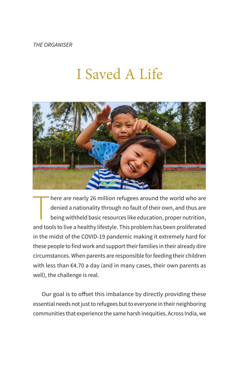*THE ORGANISER*

# I Saved A Life



here are nearly 26 million refugees around the world who are denied a nationality through no fault of their own, and thus are being withheld basic resources like education, proper nutrition, and tools to live a healthy lif here are nearly 26 million refugees around the world who are denied a nationality through no fault of their own, and thus are being withheld basic resources like education, proper nutrition, in the midst of the COVID-19 pandemic making it extremely hard for these people to find work and support their families in their already dire circumstances. When parents are responsible for feeding their children with less than €4.70 a day (and in many cases, their own parents as well), the challenge is real.

Our goal is to offset this imbalance by directly providing these essential needs not just to refugees but to everyone in their neighboring communities that experience the same harsh inequities. Across India, we